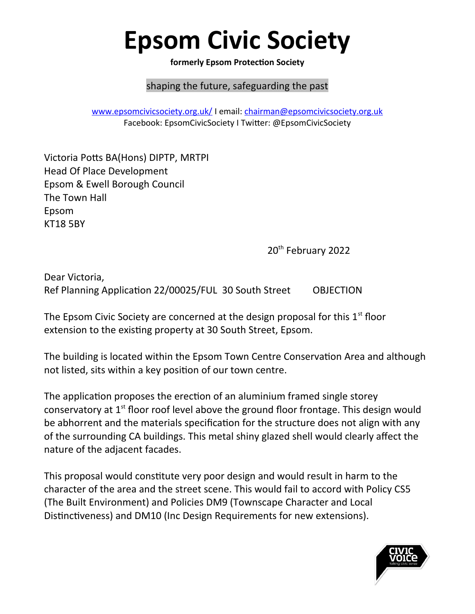## **Epsom Civic Society**

**formerly Epsom Protection Society**

## shaping the future, safeguarding the past

[www.epsomcivicsociety.org.uk/](http://www.epsomcivicsociety.org.uk/) I email: [chairman@epsomcivicsociety.org.uk](mailto:chairman@epsomcivicsociety.org.uk) Facebook: EpsomCivicSociety I Twitter: @EpsomCivicSociety

Victoria Potts BA(Hons) DIPTP, MRTPI Head Of Place Development Epsom & Ewell Borough Council The Town Hall Epsom KT18 5BY

20<sup>th</sup> February 2022

Dear Victoria, Ref Planning Application 22/00025/FUL 30 South Street OBJECTION

The Epsom Civic Society are concerned at the design proposal for this  $1<sup>st</sup>$  floor extension to the existing property at 30 South Street, Epsom.

The building is located within the Epsom Town Centre Conservation Area and although not listed, sits within a key position of our town centre.

The application proposes the erection of an aluminium framed single storey conservatory at  $1<sup>st</sup>$  floor roof level above the ground floor frontage. This design would be abhorrent and the materials specification for the structure does not align with any of the surrounding CA buildings. This metal shiny glazed shell would clearly affect the nature of the adjacent facades.

This proposal would constitute very poor design and would result in harm to the character of the area and the street scene. This would fail to accord with Policy CS5 (The Built Environment) and Policies DM9 (Townscape Character and Local Distinctiveness) and DM10 (Inc Design Requirements for new extensions).